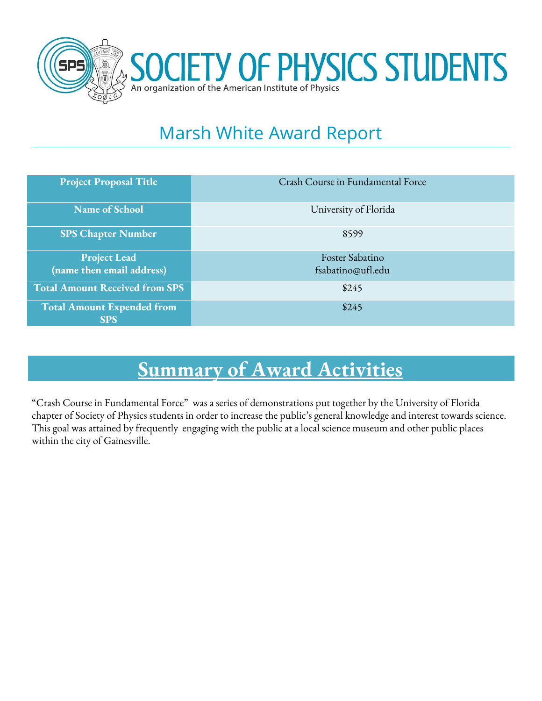

# Marsh White Award Report

| <b>Project Proposal Title</b>         | Crash Course in Fundamental Force |
|---------------------------------------|-----------------------------------|
| <b>Name of School</b>                 | University of Florida             |
| <b>SPS Chapter Number</b>             | 8599                              |
| <b>Project Lead</b>                   | Foster Sabatino                   |
|                                       |                                   |
| (name then email address)             | fsabatino@ufl.edu                 |
| <b>Total Amount Received from SPS</b> | \$245                             |
| <b>Total Amount Expended from</b>     | \$245                             |
|                                       |                                   |
| <b>SPS</b>                            |                                   |

# **Summary of Award Activities**

"Crash Course in Fundamental Force" was a series of demonstrations put together by the University of Florida chapter of Society of Physics students in order to increase the public's general knowledge and interest towards science. This goal was attained by frequently engaging with the public at a local science museum and other public places within the city of Gainesville.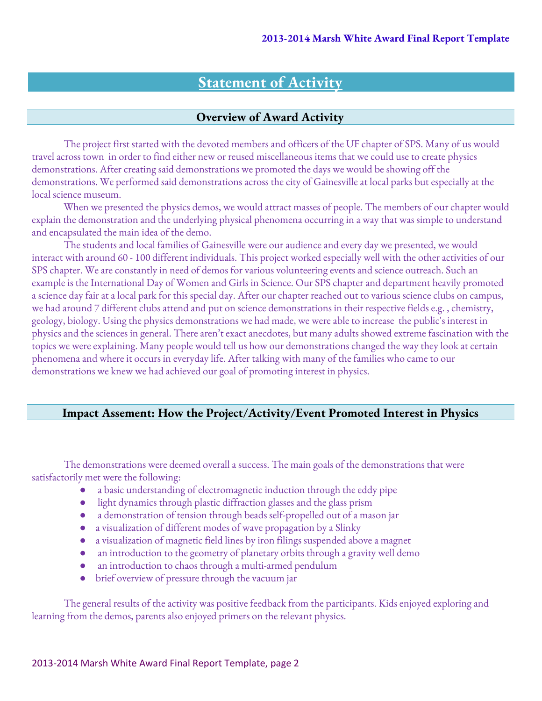## **Statement of Activity**

#### **Overview of Award Activity**

The project first started with the devoted members and officers of the UF chapter of SPS. Many of us would travel across town in order to find either new or reused miscellaneous items that we could use to create physics demonstrations. After creating said demonstrations we promoted the days we would be showing off the demonstrations. We performed said demonstrations across the city of Gainesville at local parks but especially at the local science museum.

When we presented the physics demos, we would attract masses of people. The members of our chapter would explain the demonstration and the underlying physical phenomena occurring in a way that was simple to understand and encapsulated the main idea of the demo.

The students and local families of Gainesville were our audience and every day we presented, we would interact with around 60 - 100 different individuals. This project worked especially well with the other activities of our SPS chapter. We are constantly in need of demos for various volunteering events and science outreach. Such an example is the International Day of Women and Girls in Science. Our SPS chapter and department heavily promoted a science day fair at a local park for this special day. After our chapter reached out to various science clubs on campus, we had around 7 different clubs attend and put on science demonstrations in their respective fields e.g. , chemistry, geology, biology. Using the physics demonstrations we had made, we were able to increase the public's interest in physics and the sciences in general. There aren't exact anecdotes, but many adults showed extreme fascination with the topics we were explaining. Many people would tell us how our demonstrations changed the way they look at certain phenomena and where it occurs in everyday life. After talking with many of the families who came to our demonstrations we knew we had achieved our goal of promoting interest in physics.

#### **Impact Assement: How the Project/Activity/Event Promoted Interest in Physics**

The demonstrations were deemed overall a success. The main goals of the demonstrations that were satisfactorily met were the following:

- a basic understanding of electromagnetic induction through the eddy pipe
- light dynamics through plastic diffraction glasses and the glass prism
- a demonstration of tension through beads self-propelled out of a mason jar
- a visualization of different modes of wave propagation by a Slinky
- a visualization of magnetic field lines by iron filings suspended above a magnet
- an introduction to the geometry of planetary orbits through a gravity well demo
- an introduction to chaos through a multi-armed pendulum
- brief overview of pressure through the vacuum jar

The general results of the activity was positive feedback from the participants. Kids enjoyed exploring and learning from the demos, parents also enjoyed primers on the relevant physics.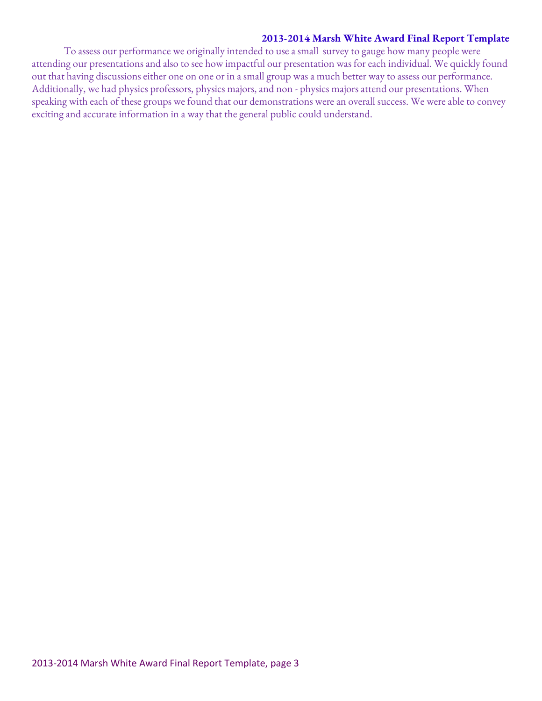#### **2013-2014 Marsh White Award Final Report Template**

To assess our performance we originally intended to use a small survey to gauge how many people were attending our presentations and also to see how impactful our presentation was for each individual. We quickly found out that having discussions either one on one or in a small group was a much better way to assess our performance. Additionally, we had physics professors, physics majors, and non - physics majors attend our presentations. When speaking with each of these groups we found that our demonstrations were an overall success. We were able to convey exciting and accurate information in a way that the general public could understand.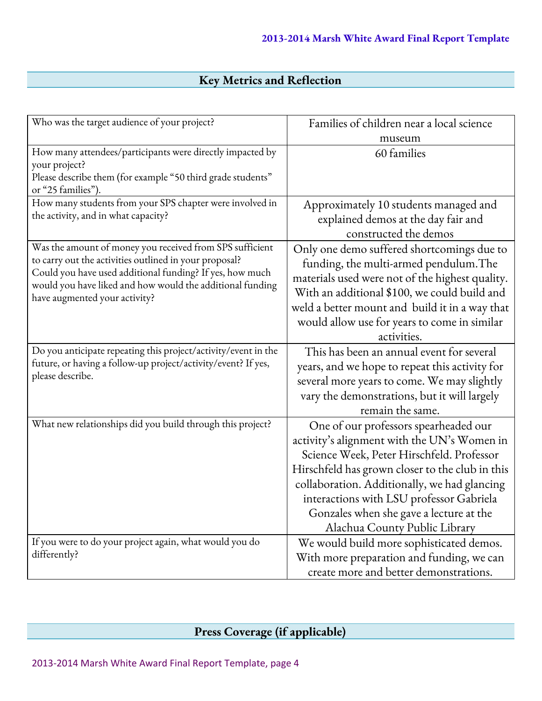### **Key Metrics and Reflection**

| Who was the target audience of your project?                                                                                                                                                                                                                                 | Families of children near a local science                                                                                                                                                                                                                                                                                                                    |  |
|------------------------------------------------------------------------------------------------------------------------------------------------------------------------------------------------------------------------------------------------------------------------------|--------------------------------------------------------------------------------------------------------------------------------------------------------------------------------------------------------------------------------------------------------------------------------------------------------------------------------------------------------------|--|
|                                                                                                                                                                                                                                                                              | museum                                                                                                                                                                                                                                                                                                                                                       |  |
| How many attendees/participants were directly impacted by<br>your project?<br>Please describe them (for example "50 third grade students"<br>or "25 families").                                                                                                              | 60 families                                                                                                                                                                                                                                                                                                                                                  |  |
| How many students from your SPS chapter were involved in<br>the activity, and in what capacity?                                                                                                                                                                              | Approximately 10 students managed and<br>explained demos at the day fair and<br>constructed the demos                                                                                                                                                                                                                                                        |  |
| Was the amount of money you received from SPS sufficient<br>to carry out the activities outlined in your proposal?<br>Could you have used additional funding? If yes, how much<br>would you have liked and how would the additional funding<br>have augmented your activity? | Only one demo suffered shortcomings due to<br>funding, the multi-armed pendulum. The<br>materials used were not of the highest quality.<br>With an additional \$100, we could build and<br>weld a better mount and build it in a way that<br>would allow use for years to come in similar<br>activities.                                                     |  |
| Do you anticipate repeating this project/activity/event in the<br>future, or having a follow-up project/activity/event? If yes,<br>please describe.                                                                                                                          | This has been an annual event for several<br>years, and we hope to repeat this activity for<br>several more years to come. We may slightly<br>vary the demonstrations, but it will largely<br>remain the same.                                                                                                                                               |  |
| What new relationships did you build through this project?                                                                                                                                                                                                                   | One of our professors spearheaded our<br>activity's alignment with the UN's Women in<br>Science Week, Peter Hirschfeld. Professor<br>Hirschfeld has grown closer to the club in this<br>collaboration. Additionally, we had glancing<br>interactions with LSU professor Gabriela<br>Gonzales when she gave a lecture at the<br>Alachua County Public Library |  |
| If you were to do your project again, what would you do<br>differently?                                                                                                                                                                                                      | We would build more sophisticated demos.<br>With more preparation and funding, we can<br>create more and better demonstrations.                                                                                                                                                                                                                              |  |

### **Press Coverage (if applicable)**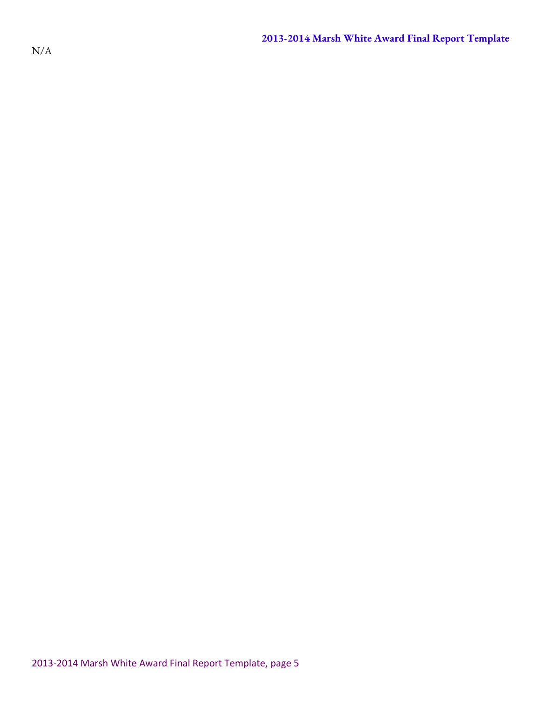N/A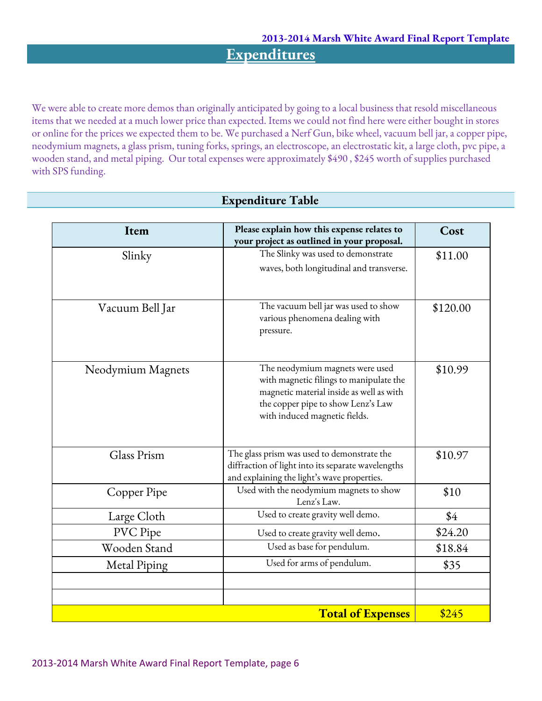**Expenditures**

We were able to create more demos than originally anticipated by going to a local business that resold miscellaneous items that we needed at a much lower price than expected. Items we could not find here were either bought in stores or online for the prices we expected them to be. We purchased a Nerf Gun, bike wheel, vacuum bell jar, a copper pipe, neodymium magnets, a glass prism, tuning forks, springs, an electroscope, an electrostatic kit, a large cloth, pvc pipe, a wooden stand, and metal piping. Our total expenses were approximately \$490 , \$245 worth of supplies purchased with SPS funding.

**Expenditure Table**

| Item              | Please explain how this expense relates to<br>your project as outlined in your proposal.                                                                                                      | Cost     |
|-------------------|-----------------------------------------------------------------------------------------------------------------------------------------------------------------------------------------------|----------|
| Slinky            | The Slinky was used to demonstrate                                                                                                                                                            | \$11.00  |
|                   | waves, both longitudinal and transverse.                                                                                                                                                      |          |
|                   |                                                                                                                                                                                               |          |
| Vacuum Bell Jar   | The vacuum bell jar was used to show<br>various phenomena dealing with<br>pressure.                                                                                                           | \$120.00 |
| Neodymium Magnets | The neodymium magnets were used<br>with magnetic filings to manipulate the<br>magnetic material inside as well as with<br>the copper pipe to show Lenz's Law<br>with induced magnetic fields. | \$10.99  |
| Glass Prism       | The glass prism was used to demonstrate the<br>diffraction of light into its separate wavelengths<br>and explaining the light's wave properties.                                              | \$10.97  |
| Copper Pipe       | Used with the neodymium magnets to show<br>Lenz's Law.                                                                                                                                        | \$10     |
| Large Cloth       | Used to create gravity well demo.                                                                                                                                                             | \$4      |
| PVC Pipe          | Used to create gravity well demo.                                                                                                                                                             | \$24.20  |
| Wooden Stand      | Used as base for pendulum.                                                                                                                                                                    | \$18.84  |
| Metal Piping      | Used for arms of pendulum.                                                                                                                                                                    | \$35     |
|                   |                                                                                                                                                                                               |          |
|                   |                                                                                                                                                                                               |          |
|                   | \$245                                                                                                                                                                                         |          |